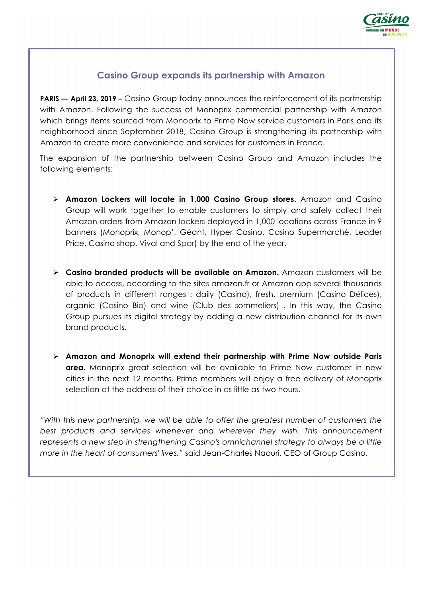

## **Casino Group expands its partnership with Amazon**

**PARIS — April 23, 2019 –** Casino Group today announces the reinforcement of its partnership with Amazon. Following the success of Monoprix commercial partnership with Amazon which brings items sourced from Monoprix to Prime Now service customers in Paris and its neighborhood since September 2018, Casino Group is strengthening its partnership with Amazon to create more convenience and services for customers in France.

The expansion of the partnership between Casino Group and Amazon includes the following elements:

- Ø **Amazon Lockers will locate in 1,000 Casino Group stores.** Amazon and Casino Group will work together to enable customers to simply and safely collect their Amazon orders from Amazon lockers deployed in 1,000 locations across France in 9 banners (Monoprix, Monop', Géant, Hyper Casino, Casino Supermarché, Leader Price, Casino shop, Vival and Spar) by the end of the year.
- Ø **Casino branded products will be available on Amazon.** Amazon customers will be able to access, according to the sites amazon.fr or Amazon app several thousands of products in different ranges : daily (Casino), fresh, premium (Casino Délices), organic (Casino Bio) and wine (Club des sommeliers) . In this way, the Casino Group pursues its digital strategy by adding a new distribution channel for its own brand products.
- Ø **Amazon and Monoprix will extend their partnership with Prime Now outside Paris area.** Monoprix great selection will be available to Prime Now customer in new cities in the next 12 months. Prime members will enjoy a free delivery of Monoprix selection at the address of their choice in as little as two hours.

*"With this new partnership, we will be able to offer the greatest number of customers the best products and services whenever and wherever they wish. This announcement represents a new step in strengthening Casino's omnichannel strategy to always be a little more in the heart of consumers' lives,"* said Jean-Charles Naouri, CEO of Group Casino.